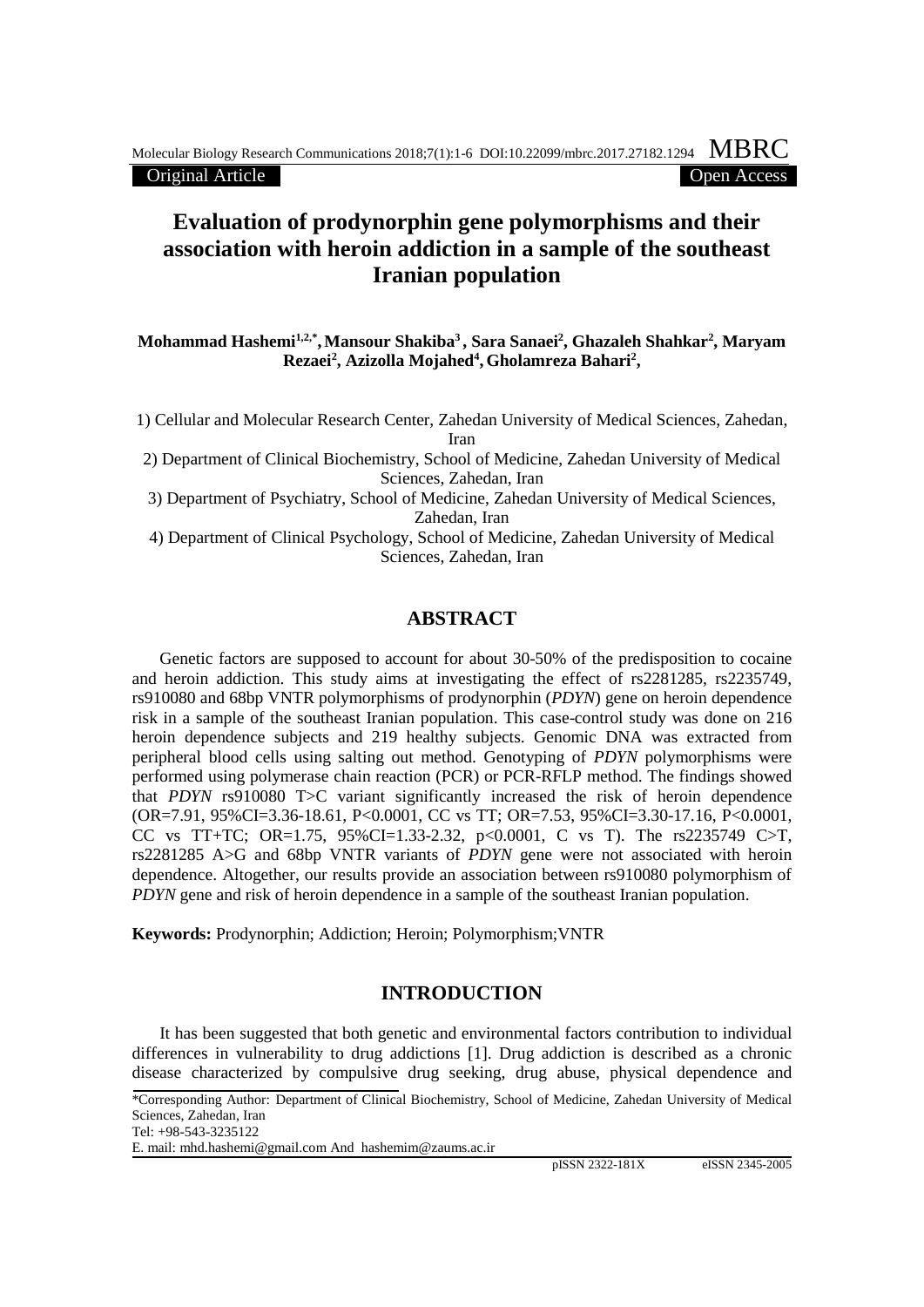Original Article Open Access

# **Evaluation of prodynorphin gene polymorphisms and their association with heroin addiction in a sample of the southeast Iranian population**

**Mohammad Hashemi1,2,\*,Mansour Shakiba3 , Sara Sanaei2 , Ghazaleh Shahkar2 , Maryam Rezaei2 , Azizolla Mojahed4 , Gholamreza Bahari2 ,**

1) Cellular and Molecular Research Center, Zahedan University of Medical Sciences, Zahedan, Iran

2) Department of Clinical Biochemistry, School of Medicine, Zahedan University of Medical Sciences, Zahedan, Iran

3) Department of Psychiatry, School of Medicine, Zahedan University of Medical Sciences, Zahedan, Iran

4) Department of Clinical Psychology, School of Medicine, Zahedan University of Medical Sciences, Zahedan, Iran

## **ABSTRACT**

Genetic factors are supposed to account for about 30-50% of the predisposition to cocaine and heroin addiction. This study aims at investigating the effect of rs2281285, rs2235749, rs910080 and 68bp VNTR polymorphisms of prodynorphin (*PDYN*) gene on heroin dependence risk in a sample of the southeast Iranian population. This case-control study was done on 216 heroin dependence subjects and 219 healthy subjects. Genomic DNA was extracted from peripheral blood cells using salting out method. Genotyping of *PDYN* polymorphisms were performed using polymerase chain reaction (PCR) or PCR-RFLP method. The findings showed that *PDYN* rs910080 T>C variant significantly increased the risk of heroin dependence (OR=7.91, 95%CI=3.36-18.61, P<0.0001, CC vs TT; OR=7.53, 95%CI=3.30-17.16, P<0.0001, CC vs TT+TC; OR=1.75,  $95\%$ CI=1.33-2.32, p<0.0001, C vs T). The rs2235749 C>T, rs2281285 A>G and 68bp VNTR variants of *PDYN* gene were not associated with heroin dependence. Altogether, our results provide an association between rs910080 polymorphism of *PDYN* gene and risk of heroin dependence in a sample of the southeast Iranian population.

**Keywords:** Prodynorphin; Addiction; Heroin; Polymorphism;VNTR

## **INTRODUCTION**

It has been suggested that both genetic and environmental factors contribution to individual differences in vulnerability to drug addictions [1]. Drug addiction is described as a chronic disease characterized by compulsive drug seeking, drug abuse, physical dependence and

<sup>\*</sup>Corresponding Author: Department of Clinical Biochemistry, School of Medicine, Zahedan University of Medical Sciences, Zahedan, Iran

Tel: +98-543-3235122

E. mail: [mhd.hashemi@gmail.com](mailto:mhd.hashemi@gmail.com) And hashemim@zaums.ac.ir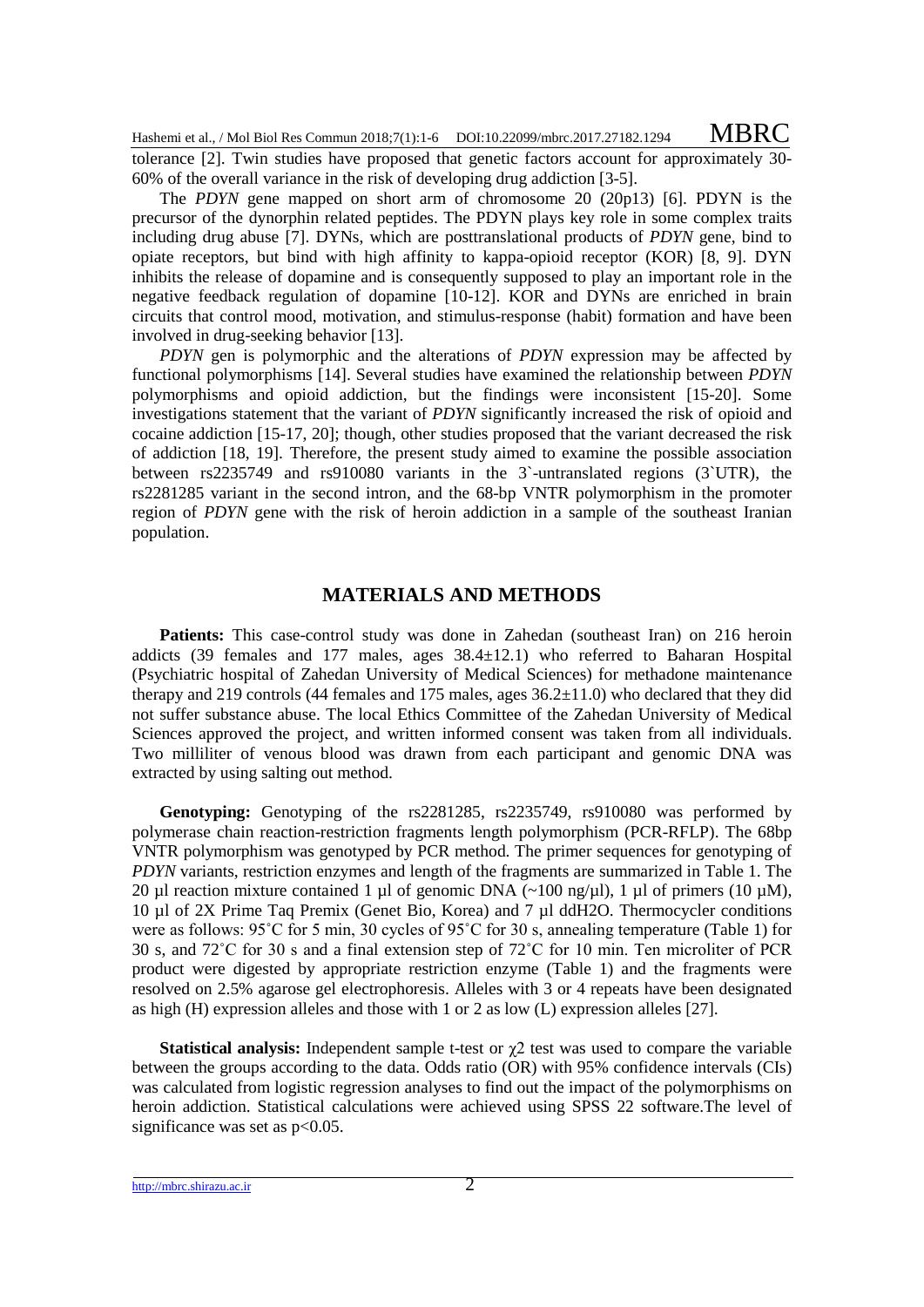Hashemi et al., / Mol Biol Res Commun 2018;7(1):1-6 DOI:10.22099/mbrc.2017.27182.1294 MBRC

tolerance [2]. Twin studies have proposed that genetic factors account for approximately 30- 60% of the overall variance in the risk of developing drug addiction [3-5].

The *PDYN* gene mapped on short arm of chromosome 20 (20p13) [6]. PDYN is the precursor of the dynorphin related peptides. The PDYN plays key role in some complex traits including drug abuse [7]. DYNs, which are posttranslational products of *PDYN* gene, bind to opiate receptors, but bind with high affinity to kappa-opioid receptor (KOR) [8, 9]. DYN inhibits the release of dopamine and is consequently supposed to play an important role in the negative feedback regulation of dopamine [10-12]. KOR and DYNs are enriched in brain circuits that control mood, motivation, and stimulus-response (habit) formation and have been involved in drug-seeking behavior [13].

*PDYN* gen is polymorphic and the alterations of *PDYN* expression may be affected by functional polymorphisms [14]. Several studies have examined the relationship between *PDYN* polymorphisms and opioid addiction, but the findings were inconsistent [15-20]. Some investigations statement that the variant of *PDYN* significantly increased the risk of opioid and cocaine addiction [15-17, 20]; though, other studies proposed that the variant decreased the risk of addiction [18, 19]. Therefore, the present study aimed to examine the possible association between rs2235749 and rs910080 variants in the 3`-untranslated regions (3`UTR), the rs2281285 variant in the second intron, and the 68-bp VNTR polymorphism in the promoter region of *PDYN* gene with the risk of heroin addiction in a sample of the southeast Iranian population.

### **MATERIALS AND METHODS**

**Patients:** This case-control study was done in Zahedan (southeast Iran) on 216 heroin addicts (39 females and 177 males, ages  $38.4 \pm 12.1$ ) who referred to Baharan Hospital (Psychiatric hospital of Zahedan University of Medical Sciences) for methadone maintenance therapy and 219 controls (44 females and 175 males, ages  $36.2\pm11.0$ ) who declared that they did not suffer substance abuse. The local Ethics Committee of the Zahedan University of Medical Sciences approved the project, and written informed consent was taken from all individuals. Two milliliter of venous blood was drawn from each participant and genomic DNA was extracted by using salting out method.

**Genotyping:** Genotyping of the rs2281285, rs2235749, rs910080 was performed by polymerase chain reaction-restriction fragments length polymorphism (PCR-RFLP). The 68bp VNTR polymorphism was genotyped by PCR method. The primer sequences for genotyping of *PDYN* variants, restriction enzymes and length of the fragments are summarized in Table 1. The 20 µl reaction mixture contained 1 µl of genomic DNA  $(\sim 100 \text{ ng/u}$ l), 1 µl of primers (10 µM), 10 µl of 2X Prime Taq Premix (Genet Bio, Korea) and 7 µl ddH2O. Thermocycler conditions were as follows: 95˚C for 5 min, 30 cycles of 95˚C for 30 s, annealing temperature (Table 1) for 30 s, and 72˚C for 30 s and a final extension step of 72˚C for 10 min. Ten microliter of PCR product were digested by appropriate restriction enzyme (Table 1) and the fragments were resolved on 2.5% agarose gel electrophoresis. Alleles with 3 or 4 repeats have been designated as high  $(H)$  expression alleles and those with 1 or 2 as low  $(L)$  expression alleles [27].

**Statistical analysis:** Independent sample t-test or  $\gamma$ 2 test was used to compare the variable between the groups according to the data. Odds ratio (OR) with 95% confidence intervals (CIs) was calculated from logistic regression analyses to find out the impact of the polymorphisms on heroin addiction. Statistical calculations were achieved using SPSS 22 software.The level of significance was set as  $p<0.05$ .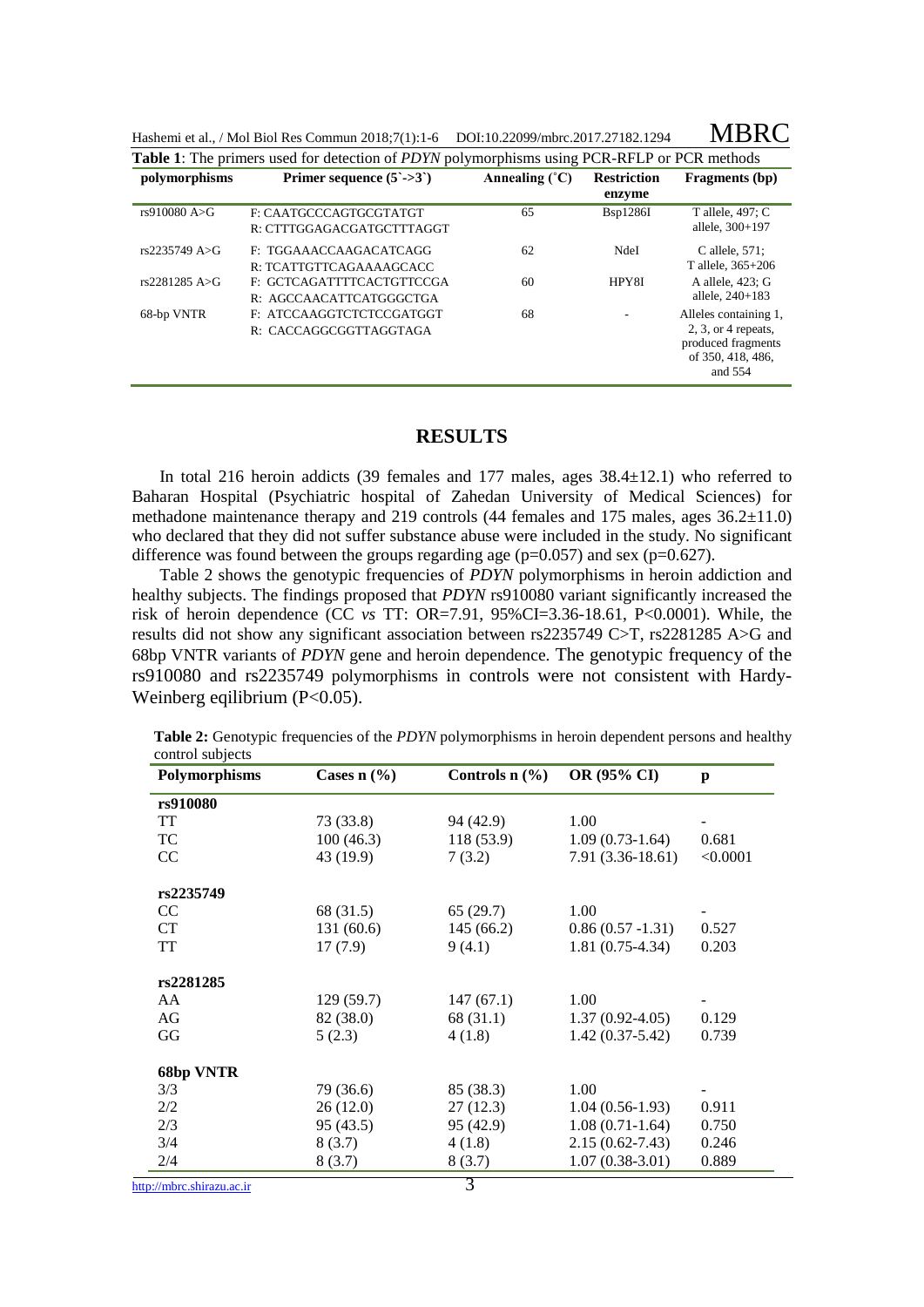| Hashemi et al., / Mol Biol Res Commun 2018;7(1):1-6 DOI:10.22099/mbrc.2017.27182.1294 |  | <b>MBRC</b> |
|---------------------------------------------------------------------------------------|--|-------------|
|---------------------------------------------------------------------------------------|--|-------------|

| polymorphisms  | Primer sequence $(5\text{-}5)$                       | Annealing $(^{\circ}C)$ | <b>Restriction</b> | <b>Fragments</b> (bp)                                                                                 |
|----------------|------------------------------------------------------|-------------------------|--------------------|-------------------------------------------------------------------------------------------------------|
|                |                                                      |                         | enzyme             |                                                                                                       |
| rs910080 A>G   | F: CAATGCCCAGTGCGTATGT<br>R: CTTTGGAGACGATGCTTTAGGT  | 65                      | <b>B</b> sp1286I   | T allele, 497; C<br>allele, 300+197                                                                   |
| rs2235749A > G | F: TGGAAACCAAGACATCAGG<br>R: TCATTGTTCAGAAAAGCACC    | 62                      | NdeI               | C allele, $571$ :<br>T allele, $365+206$                                                              |
| rs2281285 A>G  | F: GCTCAGATTTTCACTGTTCCGA<br>R: AGCCAACATTCATGGGCTGA | 60                      | HPY8I              | A allele, 423; G<br>allele, $240+183$                                                                 |
| 68-bp VNTR     | F: ATCCAAGGTCTCTCCGATGGT<br>R: CACCAGGCGGTTAGGTAGA   | 68                      |                    | Alleles containing 1,<br>$2, 3$ , or 4 repeats,<br>produced fragments<br>of 350, 418, 486,<br>and 554 |

#### **RESULTS**

In total 216 heroin addicts (39 females and 177 males, ages 38.4±12.1) who referred to Baharan Hospital (Psychiatric hospital of Zahedan University of Medical Sciences) for methadone maintenance therapy and 219 controls (44 females and 175 males, ages 36.2±11.0) who declared that they did not suffer substance abuse were included in the study. No significant difference was found between the groups regarding age  $(p=0.057)$  and sex  $(p=0.627)$ .

Table 2 shows the genotypic frequencies of *PDYN* polymorphisms in heroin addiction and healthy subjects. The findings proposed that *PDYN* rs910080 variant significantly increased the risk of heroin dependence (CC *vs* TT: OR=7.91, 95%CI=3.36-18.61, P<0.0001). While, the results did not show any significant association between rs2235749 C>T, rs2281285 A>G and 68bp VNTR variants of *PDYN* gene and heroin dependence. The genotypic frequency of the rs910080 and rs2235749 polymorphisms in controls were not consistent with Hardy-Weinberg eqilibrium (P<0.05).

| Polymorphisms             | Cases $n$ (%) | Controls $n$ $(\frac{9}{6})$ | OR (95% CI)         | p        |
|---------------------------|---------------|------------------------------|---------------------|----------|
| rs910080                  |               |                              |                     |          |
| <b>TT</b>                 | 73 (33.8)     | 94 (42.9)                    | 1.00                |          |
| TC                        | 100(46.3)     | 118(53.9)                    | $1.09(0.73-1.64)$   | 0.681    |
| CC                        | 43 (19.9)     | 7(3.2)                       | $7.91(3.36-18.61)$  | < 0.0001 |
| rs2235749                 |               |                              |                     |          |
| CC                        | 68 (31.5)     | 65(29.7)                     | 1.00                |          |
| CT                        | 131(60.6)     | 145(66.2)                    | $0.86(0.57 - 1.31)$ | 0.527    |
| <b>TT</b>                 | 17(7.9)       | 9(4.1)                       | $1.81(0.75-4.34)$   | 0.203    |
| rs2281285                 |               |                              |                     |          |
| AA                        | 129(59.7)     | 147(67.1)                    | 1.00                |          |
| AG                        | 82 (38.0)     | 68 (31.1)                    | $1.37(0.92-4.05)$   | 0.129    |
| GG                        | 5(2.3)        | 4(1.8)                       | $1.42(0.37-5.42)$   | 0.739    |
| <b>68bp VNTR</b>          |               |                              |                     |          |
| 3/3                       | 79 (36.6)     | 85 (38.3)                    | 1.00                |          |
| 2/2                       | 26(12.0)      | 27(12.3)                     | $1.04(0.56-1.93)$   | 0.911    |
| 2/3                       | 95(43.5)      | 95 (42.9)                    | $1.08(0.71-1.64)$   | 0.750    |
| 3/4                       | 8(3.7)        | 4(1.8)                       | $2.15(0.62 - 7.43)$ | 0.246    |
| 2/4                       | 8(3.7)        | 8(3.7)                       | $1.07(0.38-3.01)$   | 0.889    |
| http://mbrc.shirazu.ac.ir |               | $\overline{3}$               |                     |          |

**Table 2:** Genotypic frequencies of the *PDYN* polymorphisms in heroin dependent persons and healthy control subjects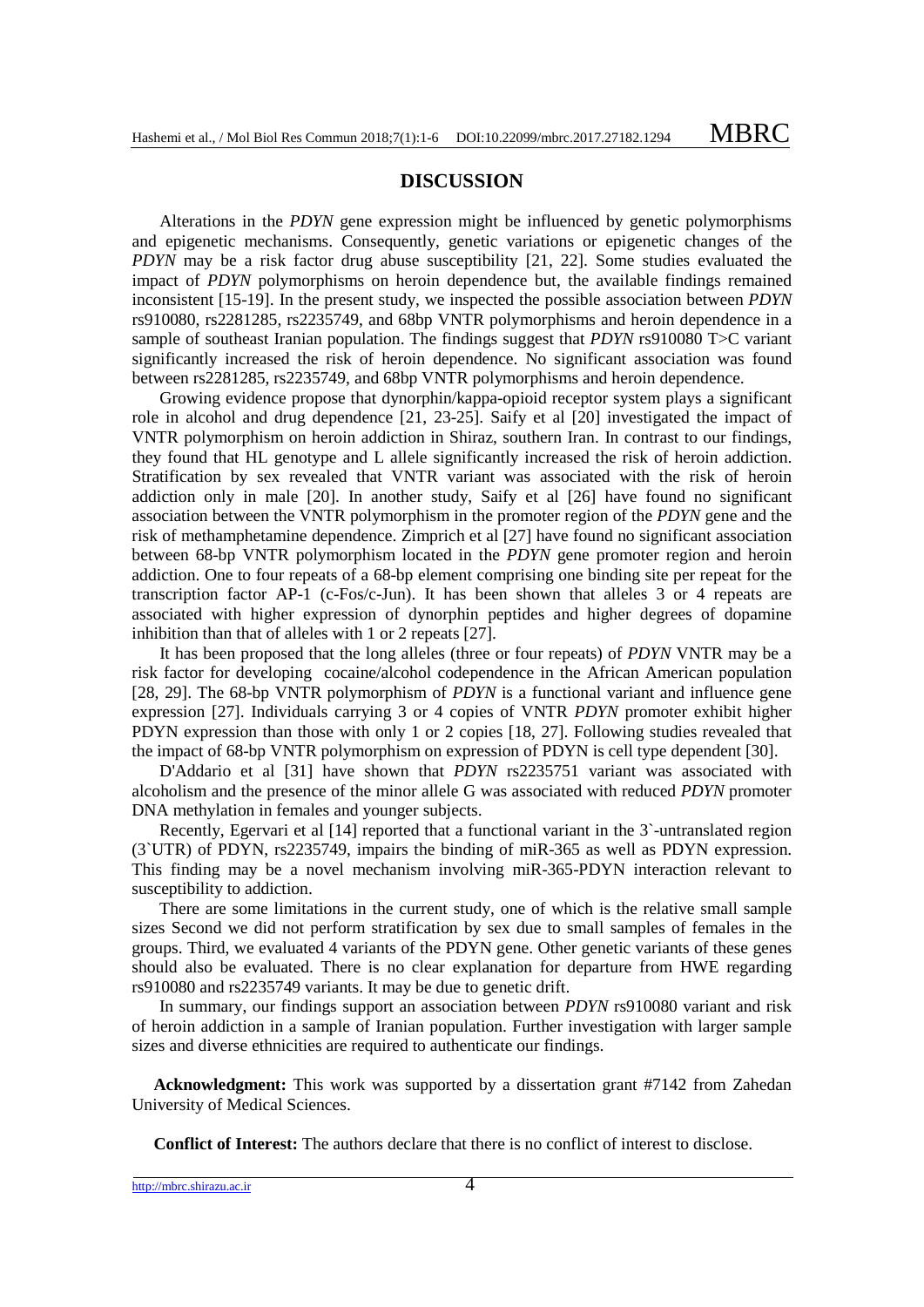#### **DISCUSSION**

Alterations in the *PDYN* gene expression might be influenced by genetic polymorphisms and epigenetic mechanisms. Consequently, genetic variations or epigenetic changes of the *PDYN* may be a risk factor drug abuse susceptibility [21, 22]. Some studies evaluated the impact of *PDYN* polymorphisms on heroin dependence but, the available findings remained inconsistent [15-19]. In the present study, we inspected the possible association between *PDYN* rs910080, rs2281285, rs2235749, and 68bp VNTR polymorphisms and heroin dependence in a sample of southeast Iranian population. The findings suggest that *PDYN* rs910080 T>C variant significantly increased the risk of heroin dependence. No significant association was found between rs2281285, rs2235749, and 68bp VNTR polymorphisms and heroin dependence.

Growing evidence propose that dynorphin/kappa-opioid receptor system plays a significant role in alcohol and drug dependence [21, 23-25]. Saify et al [20] investigated the impact of VNTR polymorphism on heroin addiction in Shiraz, southern Iran. In contrast to our findings, they found that HL genotype and L allele significantly increased the risk of heroin addiction. Stratification by sex revealed that VNTR variant was associated with the risk of heroin addiction only in male [20]. In another study, Saify et al [26] have found no significant association between the VNTR polymorphism in the promoter region of the *PDYN* gene and the risk of methamphetamine dependence. Zimprich et al [27] have found no significant association between 68-bp VNTR polymorphism located in the *PDYN* gene promoter region and heroin addiction. One to four repeats of a 68-bp element comprising one binding site per repeat for the transcription factor AP-1 (c-Fos/c-Jun). It has been shown that alleles 3 or 4 repeats are associated with higher expression of dynorphin peptides and higher degrees of dopamine inhibition than that of alleles with 1 or 2 repeats [27].

It has been proposed that the long alleles (three or four repeats) of *PDYN* VNTR may be a risk factor for developing cocaine/alcohol codependence in the African American population [28, 29]. The 68-bp VNTR polymorphism of *PDYN* is a functional variant and influence gene expression [27]. Individuals carrying 3 or 4 copies of VNTR *PDYN* promoter exhibit higher PDYN expression than those with only 1 or 2 copies [18, 27]. Following studies revealed that the impact of 68-bp VNTR polymorphism on expression of PDYN is cell type dependent [30].

D'Addario et al [31] have shown that *PDYN* rs2235751 variant was associated with alcoholism and the presence of the minor allele G was associated with reduced *PDYN* promoter DNA methylation in females and younger subjects.

Recently, Egervari et al [14] reported that a functional variant in the 3`-untranslated region (3`UTR) of PDYN, rs2235749, impairs the binding of miR-365 as well as PDYN expression. This finding may be a novel mechanism involving miR-365-PDYN interaction relevant to susceptibility to addiction.

There are some limitations in the current study, one of which is the relative small sample sizes Second we did not perform stratification by sex due to small samples of females in the groups. Third, we evaluated 4 variants of the PDYN gene. Other genetic variants of these genes should also be evaluated. There is no clear explanation for departure from HWE regarding rs910080 and rs2235749 variants. It may be due to genetic drift.

In summary, our findings support an association between *PDYN* rs910080 variant and risk of heroin addiction in a sample of Iranian population. Further investigation with larger sample sizes and diverse ethnicities are required to authenticate our findings.

**Acknowledgment:** This work was supported by a dissertation grant #7142 from Zahedan University of Medical Sciences.

**Conflict of Interest:** The authors declare that there is no conflict of interest to disclose.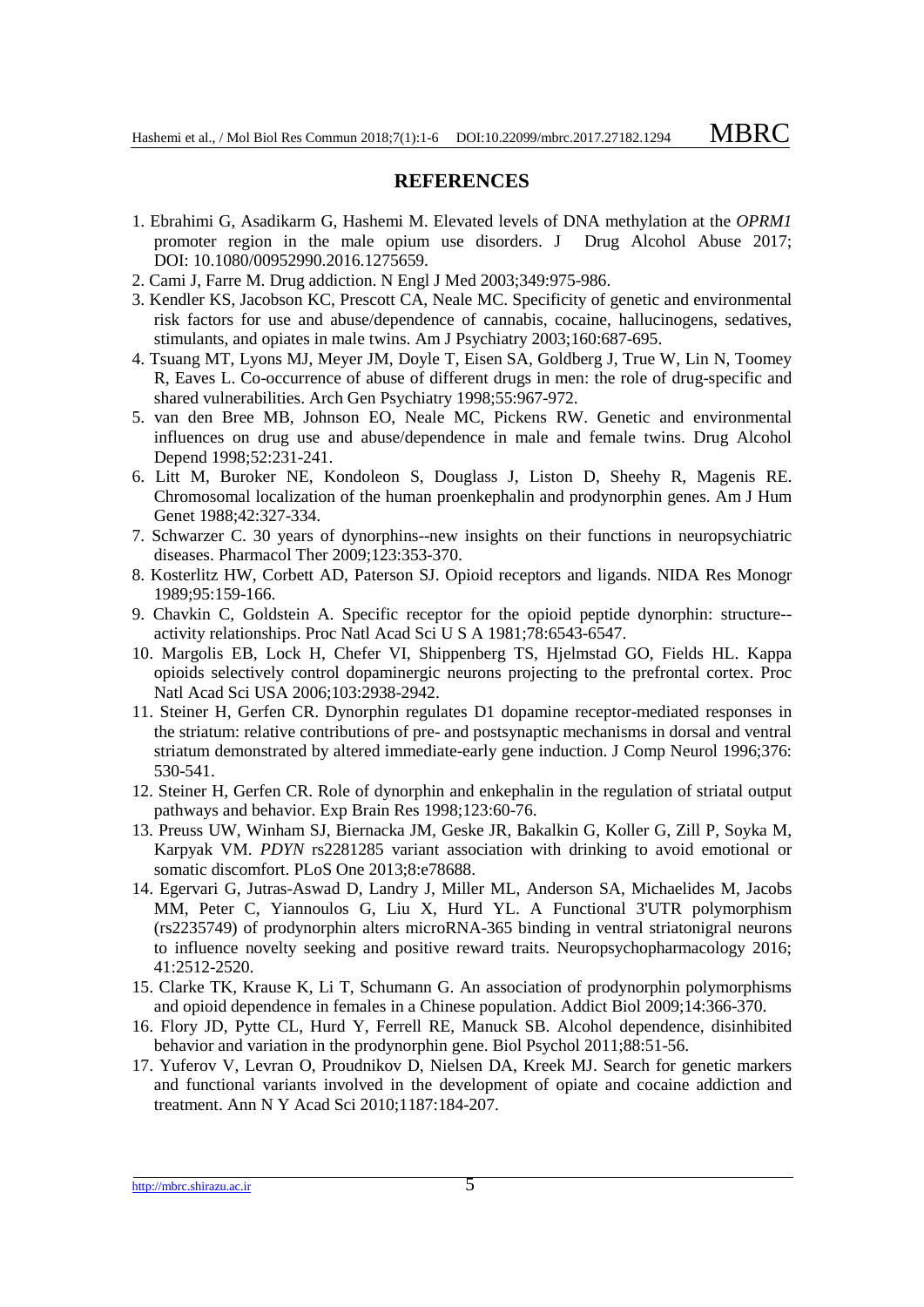### **REFERENCES**

- 1. Ebrahimi G, Asadikarm G, Hashemi M. Elevated levels of DNA methylation at the *OPRM1* promoter region in the male opium use disorders. J Drug Alcohol Abuse 2017; DOI: 10.1080/00952990.2016.1275659.
- 2. Cami J, Farre M. Drug addiction. N Engl J Med 2003;349:975-986.
- 3. Kendler KS, Jacobson KC, Prescott CA, Neale MC. Specificity of genetic and environmental risk factors for use and abuse/dependence of cannabis, cocaine, hallucinogens, sedatives, stimulants, and opiates in male twins. Am J Psychiatry 2003;160:687-695.
- 4. Tsuang MT, Lyons MJ, Meyer JM, Doyle T, Eisen SA, Goldberg J, True W, Lin N, Toomey R, Eaves L. Co-occurrence of abuse of different drugs in men: the role of drug-specific and shared vulnerabilities. Arch Gen Psychiatry 1998;55:967-972.
- 5. van den Bree MB, Johnson EO, Neale MC, Pickens RW. Genetic and environmental influences on drug use and abuse/dependence in male and female twins. Drug Alcohol Depend 1998;52:231-241.
- 6. Litt M, Buroker NE, Kondoleon S, Douglass J, Liston D, Sheehy R, Magenis RE. Chromosomal localization of the human proenkephalin and prodynorphin genes. Am J Hum Genet 1988;42:327-334.
- 7. Schwarzer C. 30 years of dynorphins--new insights on their functions in neuropsychiatric diseases. Pharmacol Ther 2009;123:353-370.
- 8. Kosterlitz HW, Corbett AD, Paterson SJ. Opioid receptors and ligands. NIDA Res Monogr 1989;95:159-166.
- 9. Chavkin C, Goldstein A. Specific receptor for the opioid peptide dynorphin: structure- activity relationships. Proc Natl Acad Sci U S A 1981;78:6543-6547.
- 10. Margolis EB, Lock H, Chefer VI, Shippenberg TS, Hjelmstad GO, Fields HL. Kappa opioids selectively control dopaminergic neurons projecting to the prefrontal cortex. Proc Natl Acad Sci USA 2006;103:2938-2942.
- 11. Steiner H, Gerfen CR. Dynorphin regulates D1 dopamine receptor-mediated responses in the striatum: relative contributions of pre- and postsynaptic mechanisms in dorsal and ventral striatum demonstrated by altered immediate-early gene induction. J Comp Neurol 1996;376: 530-541.
- 12. Steiner H, Gerfen CR. Role of dynorphin and enkephalin in the regulation of striatal output pathways and behavior. Exp Brain Res 1998;123:60-76.
- 13. Preuss UW, Winham SJ, Biernacka JM, Geske JR, Bakalkin G, Koller G, Zill P, Soyka M, Karpyak VM. *PDYN* rs2281285 variant association with drinking to avoid emotional or somatic discomfort. PLoS One 2013;8:e78688.
- 14. Egervari G, Jutras-Aswad D, Landry J, Miller ML, Anderson SA, Michaelides M, Jacobs MM, Peter C, Yiannoulos G, Liu X, Hurd YL. A Functional 3'UTR polymorphism (rs2235749) of prodynorphin alters microRNA-365 binding in ventral striatonigral neurons to influence novelty seeking and positive reward traits. Neuropsychopharmacology 2016; 41:2512-2520.
- 15. Clarke TK, Krause K, Li T, Schumann G. An association of prodynorphin polymorphisms and opioid dependence in females in a Chinese population. Addict Biol 2009;14:366-370.
- 16. Flory JD, Pytte CL, Hurd Y, Ferrell RE, Manuck SB. Alcohol dependence, disinhibited behavior and variation in the prodynorphin gene. Biol Psychol 2011;88:51-56.
- 17. Yuferov V, Levran O, Proudnikov D, Nielsen DA, Kreek MJ. Search for genetic markers and functional variants involved in the development of opiate and cocaine addiction and treatment. Ann N Y Acad Sci 2010;1187:184-207.